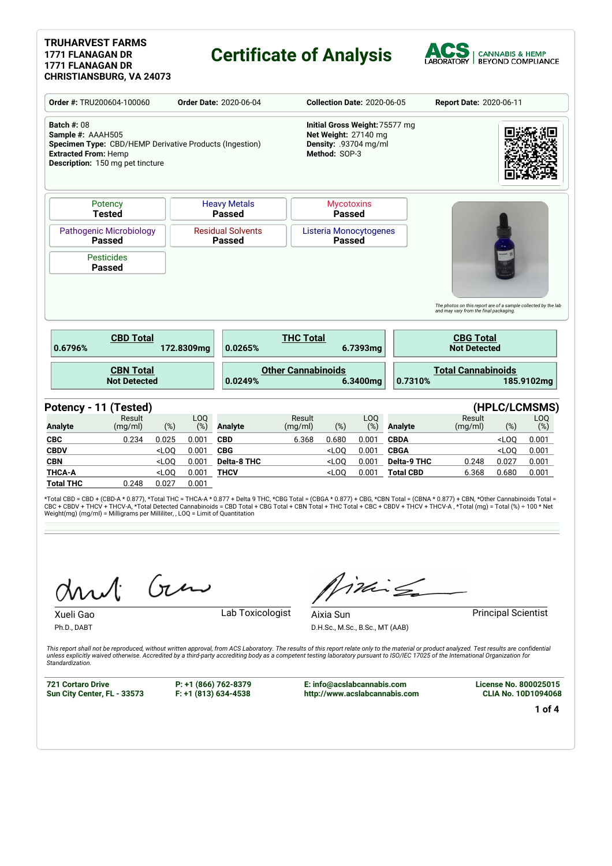#### **TRUHARVEST FARMS 1771 FLANAGAN DR 1771 FLANAGAN DR CHRISTIANSBURG, VA 24073**

## **Certificate of Analysis**



|                                                                                                                                                                              | Order #: TRU200604-100060 |                | <b>Order Date: 2020-06-04</b>             |                                                                                                  |                                         | <b>Collection Date: 2020-06-05</b> |                                        | Report Date: 2020-06-11                                                                                  |                      |                |
|------------------------------------------------------------------------------------------------------------------------------------------------------------------------------|---------------------------|----------------|-------------------------------------------|--------------------------------------------------------------------------------------------------|-----------------------------------------|------------------------------------|----------------------------------------|----------------------------------------------------------------------------------------------------------|----------------------|----------------|
| <b>Batch #: 08</b><br>Sample #: AAAH505<br>Specimen Type: CBD/HEMP Derivative Products (Ingestion)<br><b>Extracted From: Hemp</b><br><b>Description:</b> 150 mg pet tincture |                           |                |                                           | Initial Gross Weight: 75577 mg<br>Net Weight: 27140 mg<br>Density: .93704 mg/ml<br>Method: SOP-3 |                                         |                                    |                                        |                                                                                                          |                      |                |
| Potency<br><b>Tested</b>                                                                                                                                                     |                           |                | <b>Heavy Metals</b><br><b>Passed</b>      |                                                                                                  | <b>Mycotoxins</b><br><b>Passed</b>      |                                    |                                        |                                                                                                          |                      |                |
| <b>Pathogenic Microbiology</b><br><b>Passed</b>                                                                                                                              |                           |                | <b>Residual Solvents</b><br><b>Passed</b> |                                                                                                  | Listeria Monocytogenes<br><b>Passed</b> |                                    |                                        |                                                                                                          |                      |                |
| <b>Pesticides</b><br><b>Passed</b>                                                                                                                                           |                           |                |                                           |                                                                                                  |                                         |                                    |                                        |                                                                                                          |                      |                |
|                                                                                                                                                                              |                           |                |                                           |                                                                                                  |                                         |                                    |                                        | The photos on this report are of a sample collected by the lab<br>and may vary from the final packaging. |                      |                |
| <b>CBD Total</b><br>0.6796%                                                                                                                                                  |                           | 172.8309mg     | 0.0265%                                   | <b>THC Total</b>                                                                                 |                                         | 6.7393mg                           |                                        | <b>CBG Total</b><br><b>Not Detected</b>                                                                  |                      |                |
| <b>CBN Total</b><br><b>Not Detected</b>                                                                                                                                      |                           |                | 0.0249%                                   | <b>Other Cannabinoids</b>                                                                        |                                         | 6.3400mg                           | 0.7310%                                | <b>Total Cannabinoids</b>                                                                                |                      | 185.9102mg     |
|                                                                                                                                                                              |                           |                |                                           |                                                                                                  |                                         |                                    |                                        |                                                                                                          |                      |                |
| Potency - 11 (Tested)<br>Result<br><b>Analyte</b><br>(mg/ml)                                                                                                                 | (%)                       | LOO<br>(%)     | <b>Analyte</b>                            | Result<br>(mq/ml)                                                                                | (%)                                     | LOQ<br>$(\%)$                      | <b>Analyte</b>                         | Result<br>(mg/ml)                                                                                        | (HPLC/LCMSMS)<br>(%) | LOQ<br>(%)     |
| 0.234                                                                                                                                                                        | 0.025                     | 0.001          | <b>CBD</b>                                | 6.368                                                                                            | 0.680                                   | 0.001                              | <b>CBDA</b>                            |                                                                                                          | $<$ LOO              | 0.001          |
| <b>CBC</b><br><b>CBDV</b>                                                                                                                                                    | $<$ LOQ                   | 0.001          | <b>CBG</b>                                |                                                                                                  | $<$ LOQ                                 | 0.001                              | <b>CBGA</b>                            |                                                                                                          | $<$ LOQ              | 0.001          |
| <b>CBN</b><br><b>THCA-A</b>                                                                                                                                                  | $<$ LOQ<br>$<$ LOQ        | 0.001<br>0.001 | <b>Delta-8 THC</b><br><b>THCV</b>         |                                                                                                  | $<$ LOQ<br>$<$ LOQ                      | 0.001<br>0.001                     | <b>Delta-9 THC</b><br><b>Total CBD</b> | 0.248<br>6.368                                                                                           | 0.027<br>0.680       | 0.001<br>0.001 |

\*Total CBD = CBD + (CBD-A \* 0.877), \*Total THC = THCA-A \* 0.877 + Delta 9 THC, \*CBG Total = (CBGA \* 0.877) + CBG, \*CBN Total = (CBNA \* 0.877) + CBN, \*Other Cannabinoids Total =<br>CBC + CBDV + THCV + THCV-A, \*Total Detected C

Gen

inis

Aixia Sun **Principal Scientist** 

Ph.D., DABT

Xueli Gao **Lab Toxicologist** 

D.H.Sc., M.Sc., B.Sc., MT (AAB)

This report shall not be reproduced, without written approval, from ACS Laboratory. The results of this report relate only to the material or product analyzed. Test results are confidential<br>unless explicitly waived otherwi *Standardization.*

**721 Cortaro Drive Sun City Center, FL - 33573** **P: +1 (866) 762-8379 F: +1 (813) 634-4538**

**E: info@acslabcannabis.com http://www.acslabcannabis.com** **License No. 800025015 CLIA No. 10D1094068**

**1 of 4**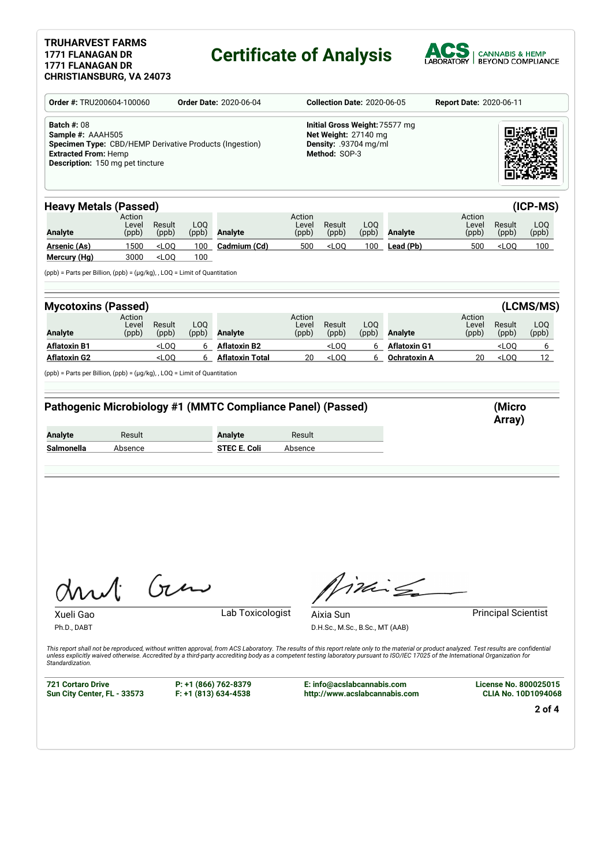### **TRUHARVEST FARMS 1771 FLANAGAN DR 1771 FLANAGAN DR**

# **Certificate of Analysis**



| Order #: TRU200604-100060<br><b>Order Date: 2020-06-04</b><br><b>Batch #: 08</b><br>Sample #: AAAH505<br>Specimen Type: CBD/HEMP Derivative Products (Ingestion)<br><b>Extracted From: Hemp</b><br><b>Description:</b> 150 mg pet tincture |                          |                      | <b>Collection Date: 2020-06-05</b> |                                                                                                  |                          |                                              | <b>Report Date: 2020-06-11</b> |                                                                                                                                                                                                                                                                                                                                                                                     |                          |                            |                      |
|--------------------------------------------------------------------------------------------------------------------------------------------------------------------------------------------------------------------------------------------|--------------------------|----------------------|------------------------------------|--------------------------------------------------------------------------------------------------|--------------------------|----------------------------------------------|--------------------------------|-------------------------------------------------------------------------------------------------------------------------------------------------------------------------------------------------------------------------------------------------------------------------------------------------------------------------------------------------------------------------------------|--------------------------|----------------------------|----------------------|
|                                                                                                                                                                                                                                            |                          |                      |                                    | Initial Gross Weight: 75577 mg<br>Net Weight: 27140 mg<br>Density: .93704 mg/ml<br>Method: SOP-3 |                          |                                              |                                |                                                                                                                                                                                                                                                                                                                                                                                     |                          |                            |                      |
| <b>Heavy Metals (Passed)</b>                                                                                                                                                                                                               |                          |                      |                                    |                                                                                                  |                          |                                              |                                |                                                                                                                                                                                                                                                                                                                                                                                     |                          |                            | (ICP-MS)             |
| <b>Analyte</b>                                                                                                                                                                                                                             | Action<br>Level<br>(ppb) | Result<br>(ppb)      | LOQ<br>(ppb)                       | <b>Analyte</b>                                                                                   | Action<br>Level<br>(ppb) | Result<br>(ppb)                              | LOQ<br>(ppb)                   | Analyte                                                                                                                                                                                                                                                                                                                                                                             | Action<br>Level<br>(ppb) | Result<br>(ppb)            | LOQ<br>(ppb)         |
| <b>Arsenic (As)</b><br>Mercury (Hg)                                                                                                                                                                                                        | 1500<br>3000             | LOO<br>$<$ LOQ       | 100<br>100                         | Cadmium (Cd)                                                                                     | 500                      | $<$ LOQ                                      | 100                            | Lead (Pb)                                                                                                                                                                                                                                                                                                                                                                           | 500                      | $<$ LOQ                    | 100                  |
| $(ppb)$ = Parts per Billion, $(ppb)$ = $(\mu g/kg)$ , , LOQ = Limit of Quantitation                                                                                                                                                        |                          |                      |                                    |                                                                                                  |                          |                                              |                                |                                                                                                                                                                                                                                                                                                                                                                                     |                          |                            |                      |
| <b>Mycotoxins (Passed)</b>                                                                                                                                                                                                                 |                          |                      |                                    |                                                                                                  |                          |                                              |                                |                                                                                                                                                                                                                                                                                                                                                                                     |                          |                            | (LCMS/MS)            |
| Analyte                                                                                                                                                                                                                                    | Action<br>Level<br>(ppb) | Result<br>(ppb)      | LOQ<br>(ppb)                       | <b>Analyte</b>                                                                                   | Action<br>Level<br>(ppb) | Result<br>(ppb)                              | LOQ<br>(ppb)                   | Analyte                                                                                                                                                                                                                                                                                                                                                                             | Action<br>Level<br>(ppb) | Result<br>(ppb)            | LOQ<br>(ppb)         |
| Aflatoxin B1                                                                                                                                                                                                                               |                          | $<$ LOQ<br>$<$ LOQ   | 6<br>6                             | <b>Aflatoxin B2</b><br><b>Aflatoxin Total</b>                                                    | 20                       | $<$ LOQ<br>$<$ LOQ                           | 6<br>6                         | <b>Aflatoxin G1</b><br>Ochratoxin A                                                                                                                                                                                                                                                                                                                                                 | 20                       | $<$ LOQ<br>$<$ LOQ         | 6<br>12 <sup>2</sup> |
|                                                                                                                                                                                                                                            |                          |                      |                                    |                                                                                                  |                          |                                              |                                |                                                                                                                                                                                                                                                                                                                                                                                     |                          |                            |                      |
|                                                                                                                                                                                                                                            |                          |                      |                                    | Pathogenic Microbiology #1 (MMTC Compliance Panel) (Passed)                                      |                          |                                              |                                |                                                                                                                                                                                                                                                                                                                                                                                     |                          | (Micro<br>Array)           |                      |
|                                                                                                                                                                                                                                            | Result<br>Absence        |                      |                                    | <b>Analyte</b><br><b>STEC E. Coli</b>                                                            | Result<br>Absence        |                                              |                                |                                                                                                                                                                                                                                                                                                                                                                                     |                          |                            |                      |
| <b>Aflatoxin G2</b><br>(ppb) = Parts per Billion, (ppb) = (µg/kg), , LOQ = Limit of Quantitation<br><b>Analyte</b><br>Salmonella                                                                                                           |                          |                      |                                    |                                                                                                  |                          |                                              |                                |                                                                                                                                                                                                                                                                                                                                                                                     |                          |                            |                      |
| Mul<br>Xueli Gao<br>Ph.D., DABT                                                                                                                                                                                                            |                          | $\int_{\mathcal{U}}$ |                                    | Lab Toxicologist                                                                                 |                          | Aixia Sun<br>D.H.Sc., M.Sc., B.Sc., MT (AAB) |                                | $iki \nleq$                                                                                                                                                                                                                                                                                                                                                                         |                          | <b>Principal Scientist</b> |                      |
| Standardization.                                                                                                                                                                                                                           |                          |                      |                                    |                                                                                                  |                          |                                              |                                | This report shall not be reproduced, without written approval, from ACS Laboratory. The results of this report relate only to the material or product analyzed. Test results are confidential<br>unless explicitly waived otherwise. Accredited by a third-party accrediting body as a competent testing laboratory pursuant to ISO/IEC 17025 of the International Organization for |                          |                            |                      |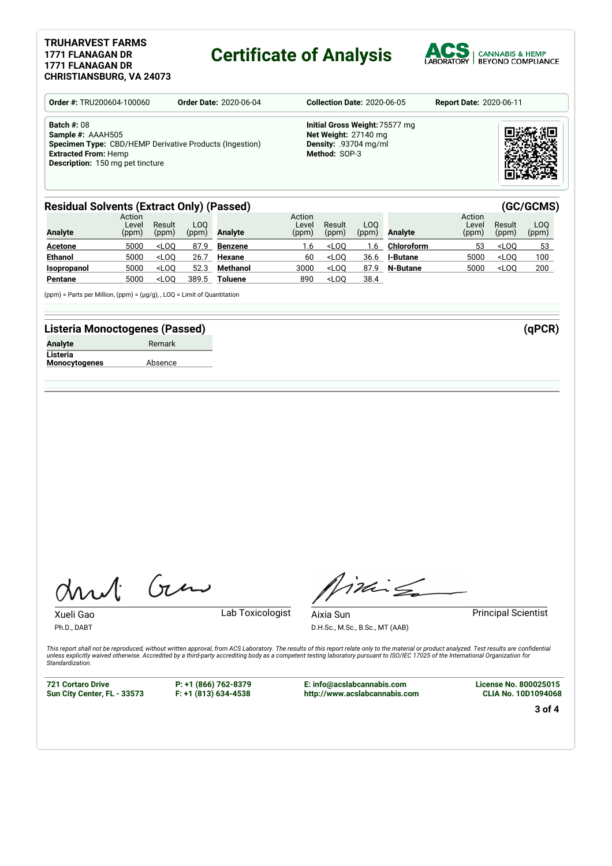#### **TRUHARVEST FARMS 1771 FLANAGAN DR 1771 FLANAGAN DR CHRISTIANSBURG, VA 24073**

## **Certificate of Analysis**



| <b>Order #: TRU200604-100060</b>                                                                                                                                                    | <b>Order Date: 2020-06-04</b> |                                                                                                         | <b>Report Date: 2020-06-11</b> |  |  |
|-------------------------------------------------------------------------------------------------------------------------------------------------------------------------------------|-------------------------------|---------------------------------------------------------------------------------------------------------|--------------------------------|--|--|
| <b>Batch #: 08</b><br>Sample #: AAAH505<br><b>Specimen Type:</b> CBD/HEMP Derivative Products (Ingestion)<br><b>Extracted From: Hemp</b><br><b>Description:</b> 150 mg pet tincture |                               | Initial Gross Weight: 75577 mg<br>Net Weight: 27140 mg<br><b>Density: .93704 mg/ml</b><br>Method: SOP-3 |                                |  |  |

### **Residual Solvents (Extract Only) (Passed) (GC/GCMS)**

| <b>Analyte</b> | Action<br>Level<br>(ppm) | Result<br>(ppm) | LOO<br>(ppm) | Analyte        | Action<br>Level<br>(ppm) | Result<br>(ppm) | LOO.<br>(ppm) | Analyte         | Action<br>Level<br>(ppm) | Result<br>(ppm) | LOO<br>(ppm) |
|----------------|--------------------------|-----------------|--------------|----------------|--------------------------|-----------------|---------------|-----------------|--------------------------|-----------------|--------------|
| <b>Acetone</b> | 5000                     | $<$ LOO         | 87.9         | Benzene        | 1.6                      | $<$ LOO         | .6            | Chloroform      | 53                       | $<$ LOO         | 53           |
| <b>Ethanol</b> | 5000                     | $<$ LOO         | 26.7         | Hexane         | 60                       | $<$ LOO         | 36.6          | <b>I-Butane</b> | 5000                     | $<$ LOO         | 100          |
| Isopropanol    | 5000                     | $<$ LOO         | 52.3         | Methanol       | 3000                     | $<$ LOO         | 87.9          | N-Butane        | 5000                     | $<$ LOO         | 200          |
| Pentane        | 5000                     | $<$ LOO         | 389.5        | <b>Toluene</b> | 890                      | $<$ LOO         | 38.4          |                 |                          |                 |              |

(ppm) = Parts per Million, (ppm) = (µg/g), , LOQ = Limit of Quantitation

### **Listeria Monoctogenes (Passed) (qPCR)**

| <b>Analyte</b>       | Remark  |
|----------------------|---------|
| Listeria             |         |
| <b>Monocytogenes</b> | Absence |

Gen

Xueli Gao **Lab Toxicologist** Ph.D., DABT

Timile

D.H.Sc., M.Sc., B.Sc., MT (AAB)

Aixia Sun **Principal Scientist** 

This report shall not be reproduced, without written approval, from ACS Laboratory. The results of this report relate only to the material or product analyzed. Test results are confidential<br>unless explicitly waived otherwi *Standardization.*

**721 Cortaro Drive Sun City Center, FL - 33573** **P: +1 (866) 762-8379 F: +1 (813) 634-4538**

**E: info@acslabcannabis.com http://www.acslabcannabis.com** **License No. 800025015 CLIA No. 10D1094068**

**3 of 4**